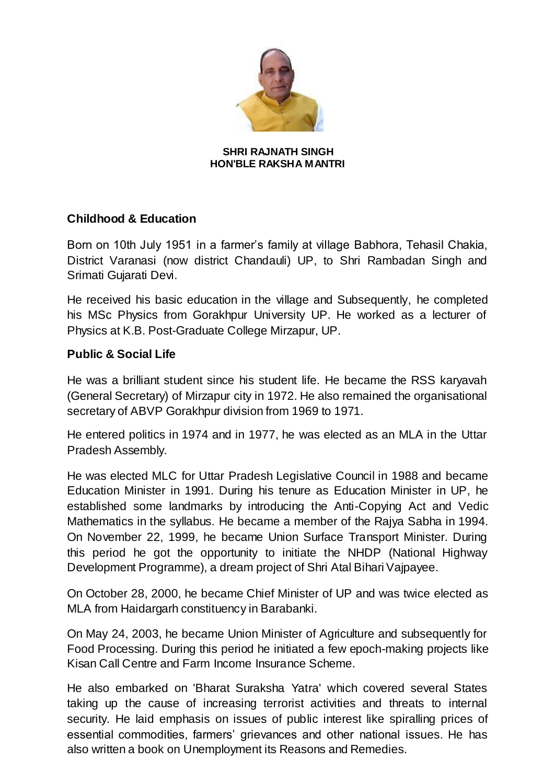

## **SHRI RAJNATH SINGH HON'BLE RAKSHA MANTRI**

## **Childhood & Education**

Born on 10th July 1951 in a farmer's family at village Babhora, Tehasil Chakia, District Varanasi (now district Chandauli) UP, to Shri Rambadan Singh and Srimati Gujarati Devi.

He received his basic education in the village and Subsequently, he completed his MSc Physics from Gorakhpur University UP. He worked as a lecturer of Physics at K.B. Post-Graduate College Mirzapur, UP.

## **Public & Social Life**

He was a brilliant student since his student life. He became the RSS karyavah (General Secretary) of Mirzapur city in 1972. He also remained the organisational secretary of ABVP Gorakhpur division from 1969 to 1971.

He entered politics in 1974 and in 1977, he was elected as an MLA in the Uttar Pradesh Assembly.

He was elected MLC for Uttar Pradesh Legislative Council in 1988 and became Education Minister in 1991. During his tenure as Education Minister in UP, he established some landmarks by introducing the Anti-Copying Act and Vedic Mathematics in the syllabus. He became a member of the Rajya Sabha in 1994. On November 22, 1999, he became Union Surface Transport Minister. During this period he got the opportunity to initiate the NHDP (National Highway Development Programme), a dream project of Shri Atal Bihari Vajpayee.

On October 28, 2000, he became Chief Minister of UP and was twice elected as MLA from Haidargarh constituency in Barabanki.

On May 24, 2003, he became Union Minister of Agriculture and subsequently for Food Processing. During this period he initiated a few epoch-making projects like Kisan Call Centre and Farm Income Insurance Scheme.

He also embarked on 'Bharat Suraksha Yatra' which covered several States taking up the cause of increasing terrorist activities and threats to internal security. He laid emphasis on issues of public interest like spiralling prices of essential commodities, farmers' grievances and other national issues. He has also written a book on Unemployment its Reasons and Remedies.